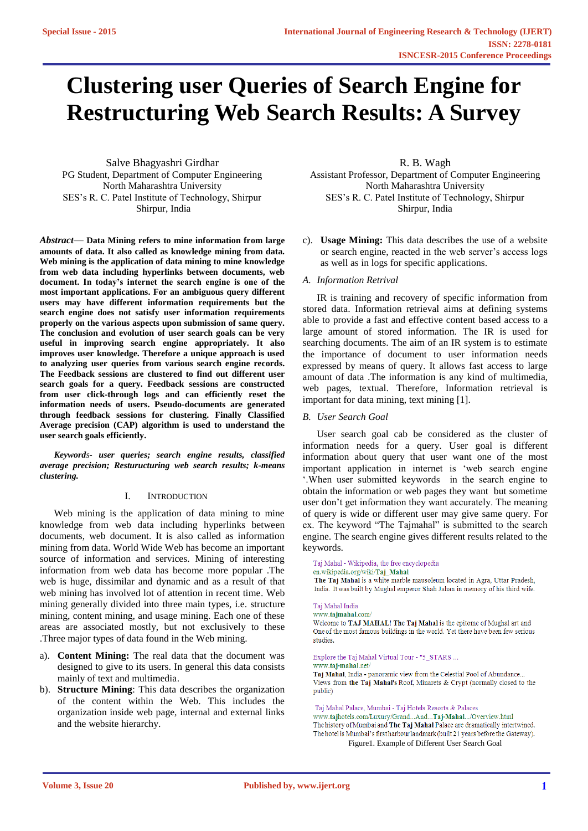# **Clustering user Queries of Search Engine for Restructuring Web Search Results: A Survey**

Salve Bhagyashri Girdhar PG Student, Department of Computer Engineering North Maharashtra University SES's R. C. Patel Institute of Technology, Shirpur Shirpur, India

*Abstract*— **Data Mining refers to mine information from large amounts of data. It also called as knowledge mining from data. Web mining is the application of data mining to mine knowledge from web data including hyperlinks between documents, web document. In today's internet the search engine is one of the most important applications. For an ambiguous query different users may have different information requirements but the search engine does not satisfy user information requirements properly on the various aspects upon submission of same query. The conclusion and evolution of user search goals can be very useful in improving search engine appropriately. It also improves user knowledge. Therefore a unique approach is used to analyzing user queries from various search engine records. The Feedback sessions are clustered to find out different user search goals for a query. Feedback sessions are constructed from user click-through logs and can efficiently reset the information needs of users. Pseudo-documents are generated through feedback sessions for clustering. Finally Classified Average precision (CAP) algorithm is used to understand the user search goals efficiently.**

*Keywords- user queries; search engine results, classified average precision; Resturucturing web search results; k-means clustering.*

## I. INTRODUCTION

Web mining is the application of data mining to mine knowledge from web data including hyperlinks between documents, web document. It is also called as information mining from data. World Wide Web has become an important source of information and services. Mining of interesting information from web data has become more popular .The web is huge, dissimilar and dynamic and as a result of that web mining has involved lot of attention in recent time. Web mining generally divided into three main types, i.e. structure mining, content mining, and usage mining. Each one of these areas are associated mostly, but not exclusively to these .Three major types of data found in the Web mining.

- a). **Content Mining:** The real data that the document was designed to give to its users. In general this data consists mainly of text and multimedia.
- b). **Structure Mining**: This data describes the organization of the content within the Web. This includes the organization inside web page, internal and external links and the website hierarchy.

R. B. Wagh Assistant Professor, Department of Computer Engineering North Maharashtra University SES's R. C. Patel Institute of Technology, Shirpur Shirpur, India

c). **Usage Mining:** This data describes the use of a website or search engine, reacted in the web server's access logs as well as in logs for specific applications.

## *A. Information Retrival*

IR is training and recovery of specific information from stored data. Information retrieval aims at defining systems able to provide a fast and effective content based access to a large amount of stored information. The IR is used for searching documents. The aim of an IR system is to estimate the importance of document to user information needs expressed by means of query. It allows fast access to large amount of data .The information is any kind of multimedia, web pages, textual. Therefore, Information retrieval is important for data mining, text mining [1].

## *B. User Search Goal*

User search goal cab be considered as the cluster of information needs for a query. User goal is different information about query that user want one of the most important application in internet is 'web search engine '.When user submitted keywords in the search engine to obtain the information or web pages they want but sometime user don't get information they want accurately. The meaning of query is wide or different user may give same query. For ex. The keyword "The Tajmahal" is submitted to the search engine. The search engine gives different results related to the keywords.

Taj Mahal - Wikipedia, the free encyclopedia en.wikipedia.org/wiki/Taj\_Mahal The Taj Mahal is a white marble mausoleum located in Agra, Uttar Pradesh, India. It was built by Mughal emperor Shah Jahan in memory of his third wife.

#### Taj Mahal India

www.tajmahal.com/ Welcome to TAJ MAHAL! The Taj Mahal is the epitome of Mughal art and One of the most famous buildings in the world. Yet there have been few serious studies

## Explore the Taj Mahal Virtual Tour - "5\_STARS ...

#### www.taj-mahal.net/

Taj Mahal, India - panoramic view from the Celestial Pool of Abundance... Views from the Taj Mahal's Roof, Minarets & Crypt (normally closed to the public)

Taj Mahal Palace, Mumbai - Taj Hotels Resorts & Palaces www.tajhotels.com/Luxury/Grand...And...Taj-Mahal.../Overview.html

The history of Mumbai and The Taj Mahal Palace are dramatically intertwined. The hotel is Mumbai's first harbour landmark (built 21 years before the Gateway). Figure1. Example of Different User Search Goal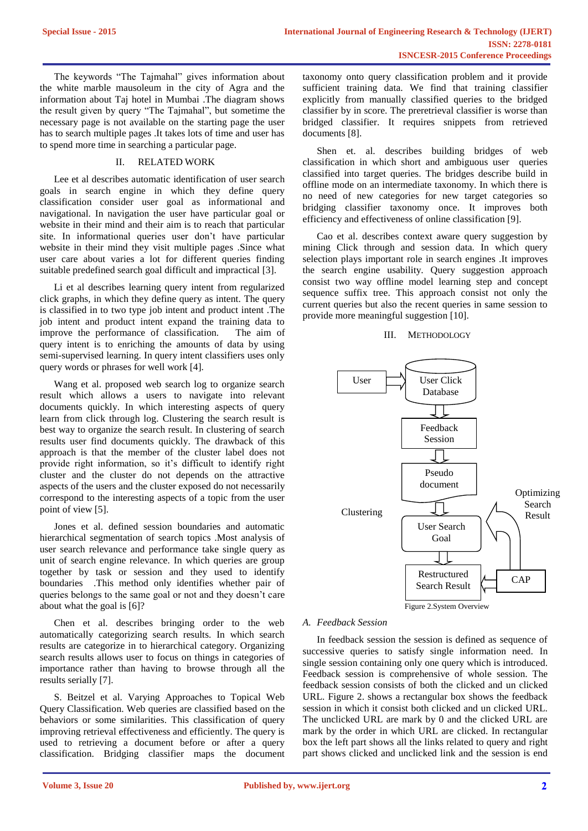The keywords "The Tajmahal" gives information about the white marble mausoleum in the city of Agra and the information about Taj hotel in Mumbai .The diagram shows the result given by query "The Tajmahal", but sometime the necessary page is not available on the starting page the user has to search multiple pages .It takes lots of time and user has to spend more time in searching a particular page.

# II. RELATED WORK

Lee et al describes automatic identification of user search goals in search engine in which they define query classification consider user goal as informational and navigational. In navigation the user have particular goal or website in their mind and their aim is to reach that particular site. In informational queries user don't have particular website in their mind they visit multiple pages .Since what user care about varies a lot for different queries finding suitable predefined search goal difficult and impractical [3].

Li et al describes learning query intent from regularized click graphs, in which they define query as intent. The query is classified in to two type job intent and product intent .The job intent and product intent expand the training data to improve the performance of classification. The aim of query intent is to enriching the amounts of data by using semi-supervised learning. In query intent classifiers uses only query words or phrases for well work [4].

Wang et al. proposed web search log to organize search result which allows a users to navigate into relevant documents quickly. In which interesting aspects of query learn from click through log. Clustering the search result is best way to organize the search result. In clustering of search results user find documents quickly. The drawback of this approach is that the member of the cluster label does not provide right information, so it's difficult to identify right cluster and the cluster do not depends on the attractive aspects of the users and the cluster exposed do not necessarily correspond to the interesting aspects of a topic from the user point of view [5].

Jones et al. defined session boundaries and automatic hierarchical segmentation of search topics .Most analysis of user search relevance and performance take single query as unit of search engine relevance. In which queries are group together by task or session and they used to identify boundaries .This method only identifies whether pair of queries belongs to the same goal or not and they doesn't care about what the goal is [6]?

Chen et al. describes bringing order to the web automatically categorizing search results. In which search results are categorize in to hierarchical category. Organizing search results allows user to focus on things in categories of importance rather than having to browse through all the results serially [7].

S. Beitzel et al. Varying Approaches to Topical Web Query Classification. Web queries are classified based on the behaviors or some similarities. This classification of query improving retrieval effectiveness and efficiently. The query is used to retrieving a document before or after a query classification. Bridging classifier maps the document

taxonomy onto query classification problem and it provide sufficient training data. We find that training classifier explicitly from manually classified queries to the bridged classifier by in score. The preretrieval classifier is worse than bridged classifier. It requires snippets from retrieved documents [8].

Shen et. al. describes building bridges of web classification in which short and ambiguous user queries classified into target queries. The bridges describe build in offline mode on an intermediate taxonomy. In which there is no need of new categories for new target categories so bridging classifier taxonomy once. It improves both efficiency and effectiveness of online classification [9].

Cao et al. describes context aware query suggestion by mining Click through and session data. In which query selection plays important role in search engines .It improves the search engine usability. Query suggestion approach consist two way offline model learning step and concept sequence suffix tree. This approach consist not only the current queries but also the recent queries in same session to provide more meaningful suggestion [10].

## III. METHODOLOGY



## *A. Feedback Session*

In feedback session the session is defined as sequence of successive queries to satisfy single information need. In single session containing only one query which is introduced. Feedback session is comprehensive of whole session. The feedback session consists of both the clicked and un clicked URL. Figure 2. shows a rectangular box shows the feedback session in which it consist both clicked and un clicked URL. The unclicked URL are mark by 0 and the clicked URL are mark by the order in which URL are clicked. In rectangular box the left part shows all the links related to query and right part shows clicked and unclicked link and the session is end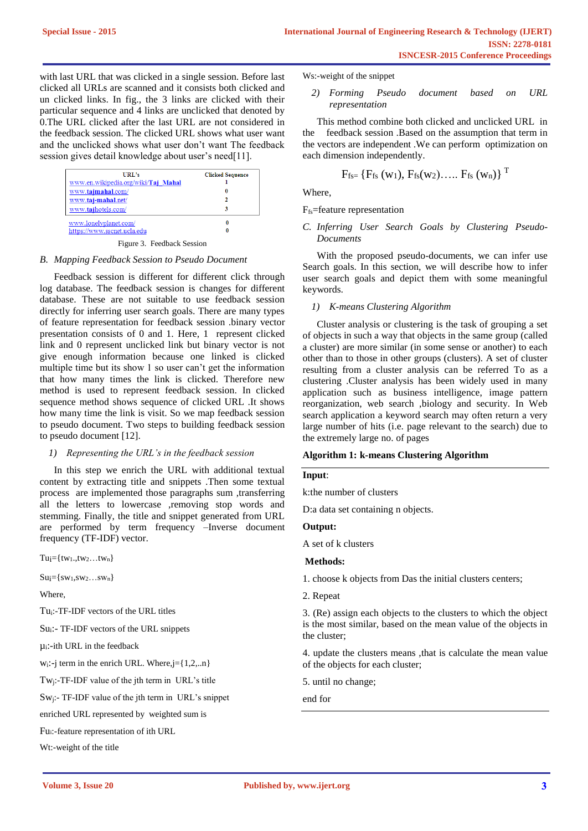with last URL that was clicked in a single session. Before last clicked all URLs are scanned and it consists both clicked and un clicked links. In fig., the 3 links are clicked with their particular sequence and 4 links are unclicked that denoted by 0.The URL clicked after the last URL are not considered in the feedback session. The clicked URL shows what user want and the unclicked shows what user don't want The feedback session gives detail knowledge about user's need[11].

| URL's<br>www.en.wikipedia.org/wiki/Taj Mahal<br>www.tajmahal.com/<br>www.taj-mahal.net/<br>www.tajhotels.com/ | <b>Clicked Sequence</b><br>٦ |
|---------------------------------------------------------------------------------------------------------------|------------------------------|
| www.lonelyplanet.com/<br>https://www.sscnet.ucla.edu                                                          | 0                            |

Figure 3. Feedback Session

### *B. Mapping Feedback Session to Pseudo Document*

Feedback session is different for different click through log database. The feedback session is changes for different database. These are not suitable to use feedback session directly for inferring user search goals. There are many types of feature representation for feedback session .binary vector presentation consists of 0 and 1. Here, 1 represent clicked link and 0 represent unclicked link but binary vector is not give enough information because one linked is clicked multiple time but its show 1 so user can't get the information that how many times the link is clicked. Therefore new method is used to represent feedback session. In clicked sequence method shows sequence of clicked URL .It shows how many time the link is visit. So we map feedback session to pseudo document. Two steps to building feedback session to pseudo document [12].

### *1) Representing the URL's in the feedback session*

In this step we enrich the URL with additional textual content by extracting title and snippets .Then some textual process are implemented those paragraphs sum ,transferring all the letters to lowercase ,removing stop words and stemming. Finally, the title and snippet generated from URL are performed by term frequency –Inverse document frequency (TF-IDF) vector.

 $Tu = \{tw_1., tw_2...tw_n\}$ 

 $Su$ <sup> $=[sw_1, sw_2...sw_n]$ </sup>

Where,

Tui:-TF-IDF vectors of the URL titles

Su<sub>i</sub>:- TF-IDF vectors of the URL snippets

 $\mu_i$ :-ith URL in the feedback

 $w_i$ :-j term in the enrich URL. Where,j={1,2,..n}

Twj:-TF-IDF value of the jth term in URL's title

Swj:- TF-IDF value of the jth term in URL's snippet

enriched URL represented by weighted sum is

Fui:-feature representation of ith URL

Wt:-weight of the title

Ws:-weight of the snippet

## *2) Forming Pseudo document based on URL representation*

This method combine both clicked and unclicked URL in the feedback session .Based on the assumption that term in the vectors are independent .We can perform optimization on each dimension independently.

$$
F_{fs=} \{F_{fs}(w_1), F_{fs}(w_2), \dots, F_{fs}(w_n) \}^T
$$

Where,

## Ffs=feature representation

# *C. Inferring User Search Goals by Clustering Pseudo-Documents*

With the proposed pseudo-documents, we can infer use Search goals. In this section, we will describe how to infer user search goals and depict them with some meaningful keywords.

*1) K-means Clustering Algorithm*

Cluster analysis or clustering is the task of grouping a set of objects in such a way that objects in the same group (called a cluster) are more similar (in some sense or another) to each other than to those in other groups (clusters). A set of cluster resulting from a cluster analysis can be referred To as a clustering .Cluster analysis has been widely used in many application such as business intelligence, image pattern reorganization, web search ,biology and security. In Web search application a keyword search may often return a very large number of hits (i.e. page relevant to the search) due to the extremely large no. of pages

### **Algorithm 1: k-means Clustering Algorithm**

## **Input**:

k:the number of clusters

D:a data set containing n objects.

## **Output:**

A set of k clusters

### **Methods:**

1. choose k objects from Das the initial clusters centers;

2. Repeat

3. (Re) assign each objects to the clusters to which the object is the most similar, based on the mean value of the objects in the cluster;

4. update the clusters means ,that is calculate the mean value of the objects for each cluster;

5. until no change;

end for